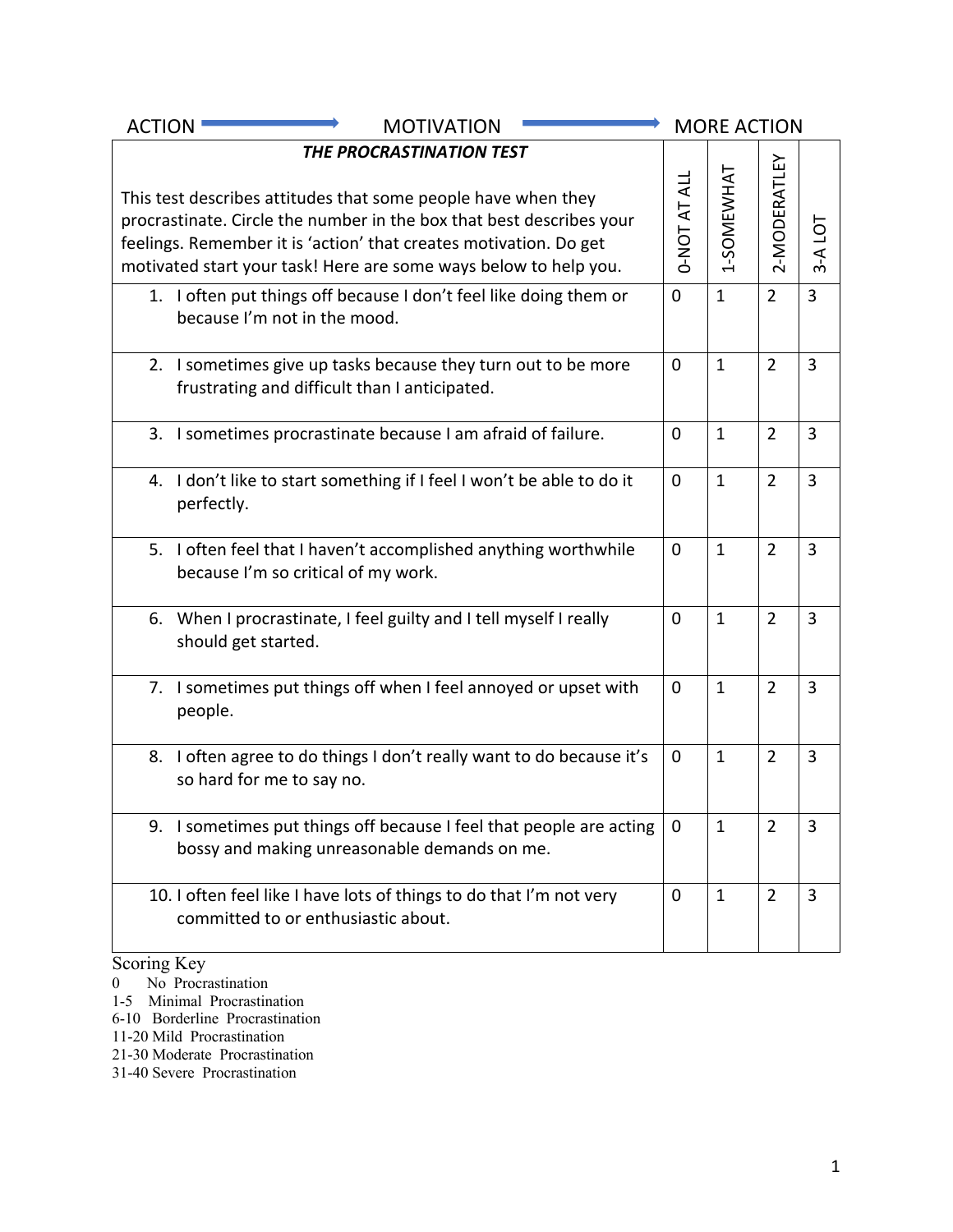| <b>ACTION</b><br><b>MOTIVATION</b>                                                                                                                                                                                                                                                                         |                     | <b>MORE ACTION</b> |                |                |
|------------------------------------------------------------------------------------------------------------------------------------------------------------------------------------------------------------------------------------------------------------------------------------------------------------|---------------------|--------------------|----------------|----------------|
| THE PROCRASTINATION TEST<br>This test describes attitudes that some people have when they<br>procrastinate. Circle the number in the box that best describes your<br>feelings. Remember it is 'action' that creates motivation. Do get<br>motivated start your task! Here are some ways below to help you. | <b>D-NOT AT ALL</b> | 1-SOMEWHAT         | 2-MODERATLEY   | 3-A LOT        |
| 1. I often put things off because I don't feel like doing them or<br>because I'm not in the mood.                                                                                                                                                                                                          | $\mathbf 0$         | $\mathbf{1}$       | $\overline{2}$ | $\overline{3}$ |
| 2. I sometimes give up tasks because they turn out to be more<br>frustrating and difficult than I anticipated.                                                                                                                                                                                             | 0                   | $\mathbf{1}$       | $\overline{2}$ | $\overline{3}$ |
| 3. I sometimes procrastinate because I am afraid of failure.                                                                                                                                                                                                                                               | $\mathbf 0$         | $\mathbf{1}$       | $\overline{2}$ | $\overline{3}$ |
| 4. I don't like to start something if I feel I won't be able to do it<br>perfectly.                                                                                                                                                                                                                        | $\mathbf 0$         | $\mathbf{1}$       | $\overline{2}$ | $\overline{3}$ |
| 5. I often feel that I haven't accomplished anything worthwhile<br>because I'm so critical of my work.                                                                                                                                                                                                     | $\mathbf 0$         | $\mathbf{1}$       | $\overline{2}$ | $\overline{3}$ |
| 6. When I procrastinate, I feel guilty and I tell myself I really<br>should get started.                                                                                                                                                                                                                   | $\mathbf 0$         | $\mathbf{1}$       | $\overline{2}$ | $\overline{3}$ |
| 7. I sometimes put things off when I feel annoyed or upset with<br>people.                                                                                                                                                                                                                                 | 0                   | $\mathbf{1}$       | $\overline{2}$ | 3              |
| 8. I often agree to do things I don't really want to do because it's<br>so hard for me to say no.                                                                                                                                                                                                          | 0                   | $\mathbf{1}$       | $\overline{2}$ | $\overline{3}$ |
| I sometimes put things off because I feel that people are acting<br>9.<br>bossy and making unreasonable demands on me.                                                                                                                                                                                     | 0                   | $\mathbf{1}$       | $\overline{2}$ | 3              |
| 10. I often feel like I have lots of things to do that I'm not very<br>committed to or enthusiastic about.                                                                                                                                                                                                 | $\mathbf 0$         | $\mathbf{1}$       | $\overline{2}$ | 3              |

#### Scoring Key

- 0 No Procrastination
- 1-5 Minimal Procrastination
- 6-10 Borderline Procrastination
- 11-20 Mild Procrastination
- 21-30 Moderate Procrastination
- 31-40 Severe Procrastination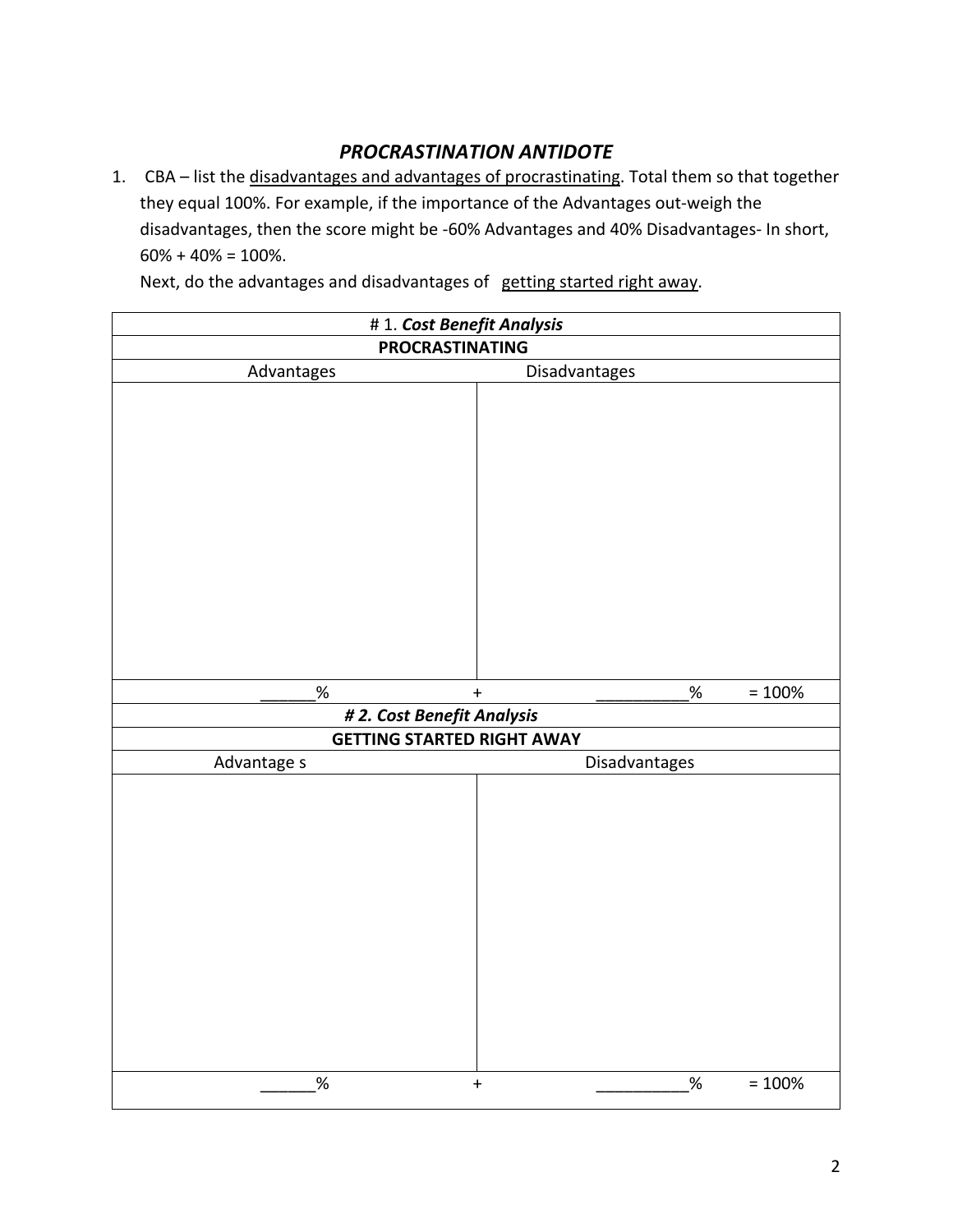# *PROCRASTINATION ANTIDOTE*

1. CBA – list the disadvantages and advantages of procrastinating. Total them so that together they equal 100%. For example, if the importance of the Advantages out-weigh the disadvantages, then the score might be -60% Advantages and 40% Disadvantages- In short,  $60\% + 40\% = 100\%$ .

Next, do the advantages and disadvantages of getting started right away.

| # 1. Cost Benefit Analysis                                      |                               |  |  |  |  |
|-----------------------------------------------------------------|-------------------------------|--|--|--|--|
| <b>PROCRASTINATING</b>                                          |                               |  |  |  |  |
| Advantages                                                      | Disadvantages                 |  |  |  |  |
|                                                                 |                               |  |  |  |  |
|                                                                 |                               |  |  |  |  |
| $\%$                                                            | $\%$<br>$= 100%$<br>$\ddot{}$ |  |  |  |  |
| # 2. Cost Benefit Analysis<br><b>GETTING STARTED RIGHT AWAY</b> |                               |  |  |  |  |
| Advantage s                                                     | Disadvantages                 |  |  |  |  |
|                                                                 |                               |  |  |  |  |
|                                                                 |                               |  |  |  |  |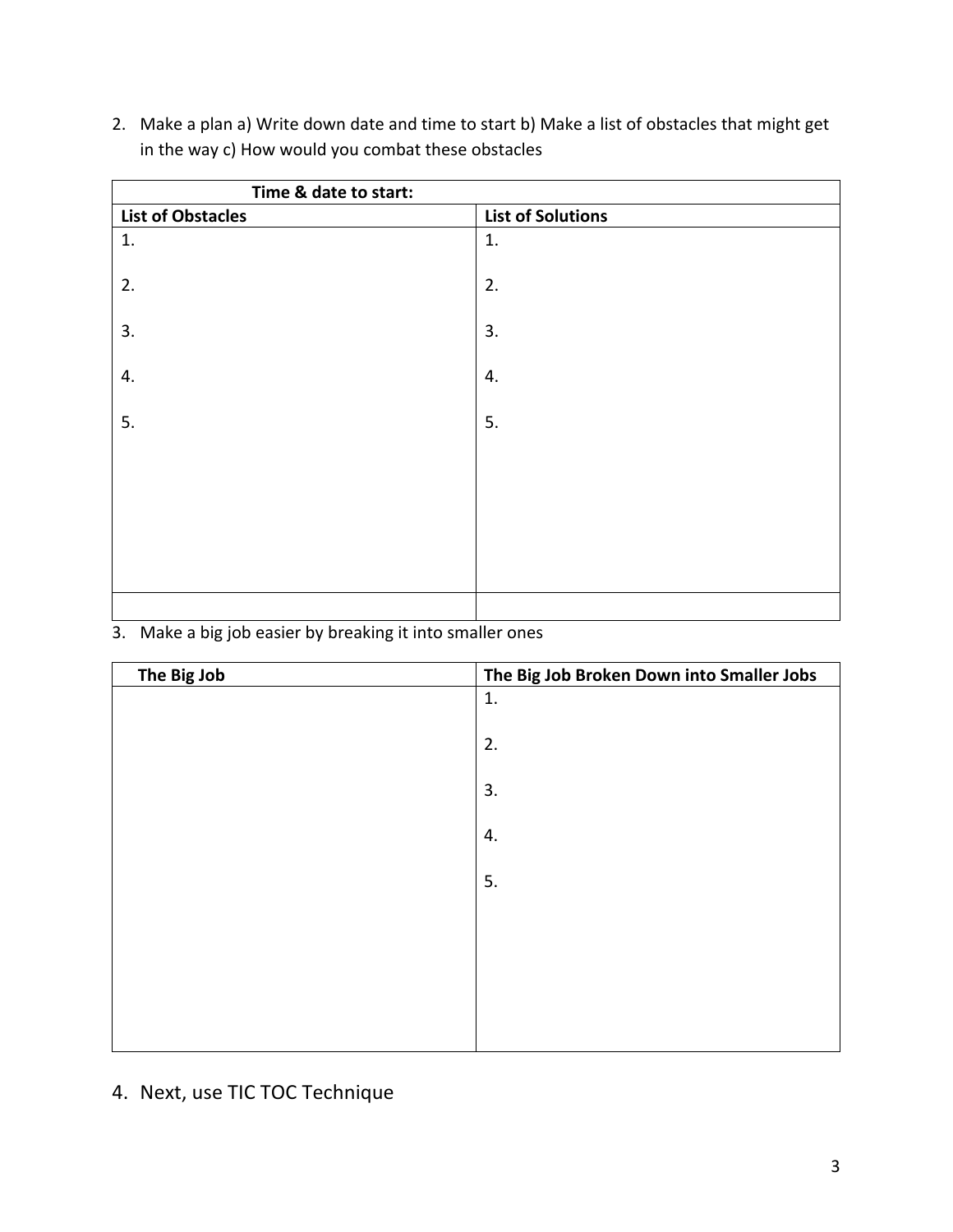- **Time & date to start: List of Obstacles List of Solutions**  1. 2. 3. 4. 5. 1. 2. 3. 4. 5.
- 2. Make a plan a) Write down date and time to start b) Make a list of obstacles that might get in the way c) How would you combat these obstacles

### 3. Make a big job easier by breaking it into smaller ones

| The Big Job | The Big Job Broken Down into Smaller Jobs |
|-------------|-------------------------------------------|
|             | 1.                                        |
|             | 2.                                        |
|             | 3.                                        |
|             | 4.                                        |
|             | 5.                                        |
|             |                                           |
|             |                                           |
|             |                                           |
|             |                                           |

4. Next, use TIC TOC Technique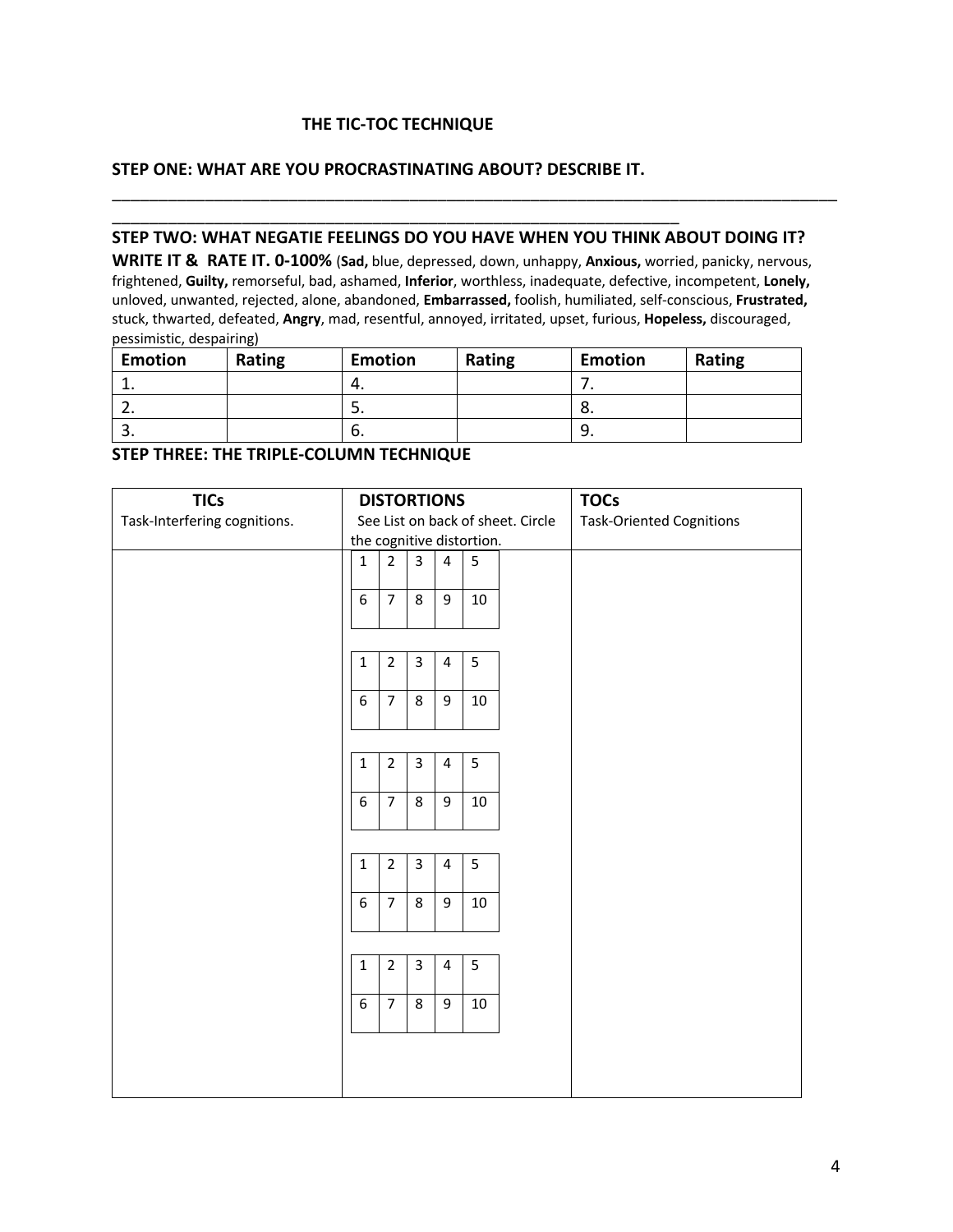#### **THE TIC-TOC TECHNIQUE**

\_\_\_\_\_\_\_\_\_\_\_\_\_\_\_\_\_\_\_\_\_\_\_\_\_\_\_\_\_\_\_\_\_\_\_\_\_\_\_\_\_\_\_\_\_\_\_\_\_\_\_\_\_\_\_\_\_\_\_\_\_

#### **STEP ONE: WHAT ARE YOU PROCRASTINATING ABOUT? DESCRIBE IT.**

#### **STEP TWO: WHAT NEGATIE FEELINGS DO YOU HAVE WHEN YOU THINK ABOUT DOING IT?**

\_\_\_\_\_\_\_\_\_\_\_\_\_\_\_\_\_\_\_\_\_\_\_\_\_\_\_\_\_\_\_\_\_\_\_\_\_\_\_\_\_\_\_\_\_\_\_\_\_\_\_\_\_\_\_\_\_\_\_\_\_\_\_\_\_\_\_\_\_\_\_\_\_\_\_\_\_\_

**WRITE IT & RATE IT. 0-100%** (**Sad,** blue, depressed, down, unhappy, **Anxious,** worried, panicky, nervous, frightened, **Guilty,** remorseful, bad, ashamed, **Inferior**, worthless, inadequate, defective, incompetent, **Lonely,**  unloved, unwanted, rejected, alone, abandoned, **Embarrassed,** foolish, humiliated, self-conscious, **Frustrated,**  stuck, thwarted, defeated, **Angry**, mad, resentful, annoyed, irritated, upset, furious, **Hopeless,** discouraged, pessimistic, despairing)

| <b>Emotion</b> | Rating | <b>Emotion</b> | Rating | <b>Emotion</b> | Rating |
|----------------|--------|----------------|--------|----------------|--------|
| <b>. .</b>     |        | т.             |        | . .            |        |
| <u>.</u>       |        | .ر             |        | o.             |        |
| J.             |        | ס.             |        | <u>.</u>       |        |

#### **STEP THREE: THE TRIPLE-COLUMN TECHNIQUE**

| <b>TICs</b>                  | <b>DISTORTIONS</b>                |                |                |                         |        | <b>TOCs</b>                     |
|------------------------------|-----------------------------------|----------------|----------------|-------------------------|--------|---------------------------------|
| Task-Interfering cognitions. | See List on back of sheet. Circle |                |                |                         |        | <b>Task-Oriented Cognitions</b> |
|                              | the cognitive distortion.         |                |                |                         |        |                                 |
|                              | $\mathbf{1}$                      | $\overline{2}$ | 3              | $\overline{\mathbf{4}}$ | 5      |                                 |
|                              |                                   | $\overline{7}$ |                |                         |        |                                 |
|                              | 6                                 |                | 8              | 9                       | 10     |                                 |
|                              |                                   |                |                |                         |        |                                 |
|                              | $\mathbf{1}$                      | $\overline{2}$ | $\overline{3}$ | $\overline{4}$          | 5      |                                 |
|                              |                                   |                |                |                         |        |                                 |
|                              | 6                                 | $\overline{7}$ | 8              | 9                       | 10     |                                 |
|                              |                                   |                |                |                         |        |                                 |
|                              |                                   |                |                |                         |        |                                 |
|                              | $\mathbf{1}$                      | $\overline{2}$ | $\overline{3}$ | $\overline{4}$          | 5      |                                 |
|                              | 6                                 | $\overline{7}$ | 8              | 9                       | 10     |                                 |
|                              |                                   |                |                |                         |        |                                 |
|                              |                                   |                |                |                         |        |                                 |
|                              | $\mathbf{1}$                      | $\overline{2}$ | $\overline{3}$ | $\overline{4}$          | 5      |                                 |
|                              | 6                                 | $\overline{7}$ | 8              | 9                       | 10     |                                 |
|                              |                                   |                |                |                         |        |                                 |
|                              |                                   |                |                |                         |        |                                 |
|                              | $\mathbf{1}$                      | $\overline{2}$ | $\overline{3}$ | $\overline{4}$          | 5      |                                 |
|                              |                                   |                |                |                         |        |                                 |
|                              | 6                                 | $\overline{7}$ | 8              | 9                       | $10\,$ |                                 |
|                              |                                   |                |                |                         |        |                                 |
|                              |                                   |                |                |                         |        |                                 |
|                              |                                   |                |                |                         |        |                                 |
|                              |                                   |                |                |                         |        |                                 |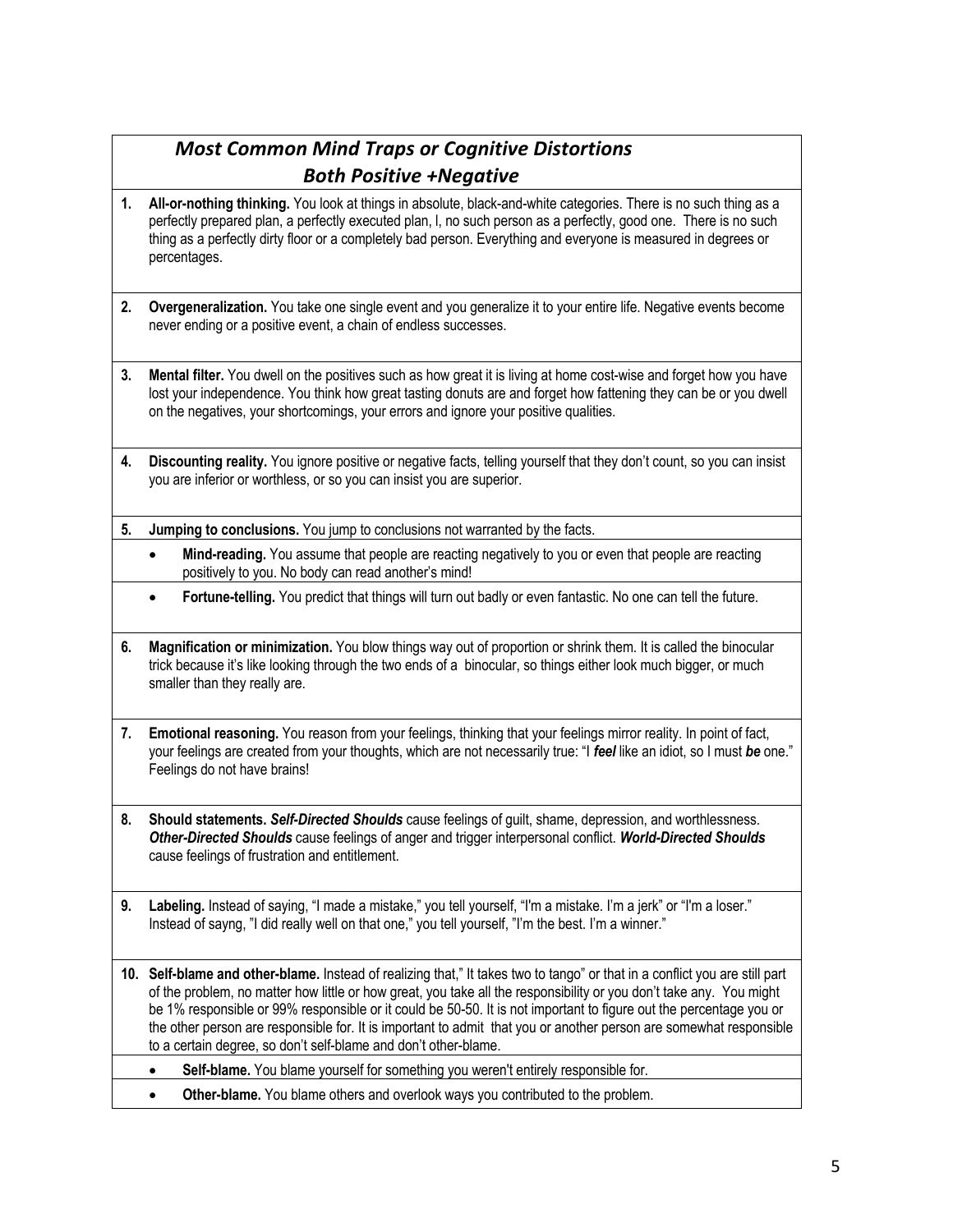# *Most Common Mind Traps or Cognitive Distortions Both Positive +Negative*

- **1. All-or-nothing thinking.** You look at things in absolute, black-and-white categories. There is no such thing as a perfectly prepared plan, a perfectly executed plan, l, no such person as a perfectly, good one. There is no such thing as a perfectly dirty floor or a completely bad person. Everything and everyone is measured in degrees or percentages.
- **2. Overgeneralization.** You take one single event and you generalize it to your entire life. Negative events become never ending or a positive event, a chain of endless successes.
- **3. Mental filter.** You dwell on the positives such as how great it is living at home cost-wise and forget how you have lost your independence. You think how great tasting donuts are and forget how fattening they can be or you dwell on the negatives, your shortcomings, your errors and ignore your positive qualities.
- **4. Discounting reality.** You ignore positive or negative facts, telling yourself that they don't count, so you can insist you are inferior or worthless, or so you can insist you are superior.
- **5. Jumping to conclusions.** You jump to conclusions not warranted by the facts.
	- **Mind-reading.** You assume that people are reacting negatively to you or even that people are reacting positively to you. No body can read another's mind!
	- **Fortune-telling.** You predict that things will turn out badly or even fantastic. No one can tell the future.
- **6. Magnification or minimization.** You blow things way out of proportion or shrink them. It is called the binocular trick because it's like looking through the two ends of a binocular, so things either look much bigger, or much smaller than they really are.
- **7. Emotional reasoning.** You reason from your feelings, thinking that your feelings mirror reality. In point of fact, your feelings are created from your thoughts, which are not necessarily true: "I *feel* like an idiot, so I must *be* one." Feelings do not have brains!
- **8. Should statements.** *Self-Directed Shoulds* cause feelings of guilt, shame, depression, and worthlessness. *Other-Directed Shoulds* cause feelings of anger and trigger interpersonal conflict. *World-Directed Shoulds* cause feelings of frustration and entitlement.
- **9. Labeling.** Instead of saying, "I made a mistake," you tell yourself, "I'm a mistake. I'm a jerk" or "I'm a loser." Instead of sayng, "I did really well on that one," you tell yourself, "I'm the best. I'm a winner."
- **10. Self-blame and other-blame.** Instead of realizing that," It takes two to tango" or that in a conflict you are still part of the problem, no matter how little or how great, you take all the responsibility or you don't take any. You might be 1% responsible or 99% responsible or it could be 50-50. It is not important to figure out the percentage you or the other person are responsible for. It is important to admit that you or another person are somewhat responsible to a certain degree, so don't self-blame and don't other-blame.
	- **Self-blame.** You blame yourself for something you weren't entirely responsible for.
	- **Other-blame.** You blame others and overlook ways you contributed to the problem.